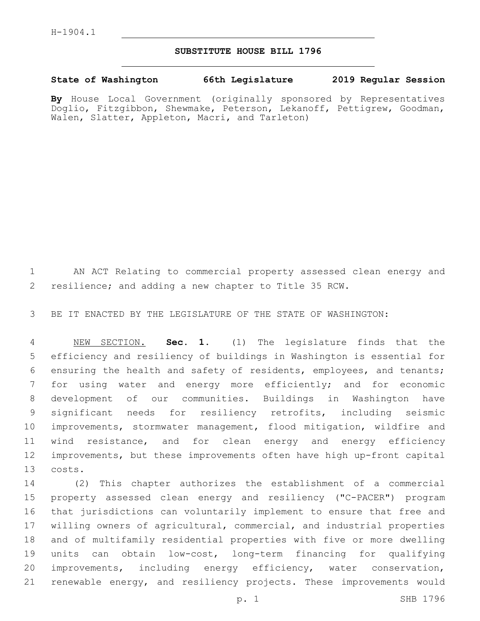## **SUBSTITUTE HOUSE BILL 1796**

## **State of Washington 66th Legislature 2019 Regular Session**

**By** House Local Government (originally sponsored by Representatives Doglio, Fitzgibbon, Shewmake, Peterson, Lekanoff, Pettigrew, Goodman, Walen, Slatter, Appleton, Macri, and Tarleton)

 AN ACT Relating to commercial property assessed clean energy and resilience; and adding a new chapter to Title 35 RCW.

BE IT ENACTED BY THE LEGISLATURE OF THE STATE OF WASHINGTON:

 NEW SECTION. **Sec. 1.** (1) The legislature finds that the efficiency and resiliency of buildings in Washington is essential for ensuring the health and safety of residents, employees, and tenants; for using water and energy more efficiently; and for economic development of our communities. Buildings in Washington have significant needs for resiliency retrofits, including seismic improvements, stormwater management, flood mitigation, wildfire and wind resistance, and for clean energy and energy efficiency improvements, but these improvements often have high up-front capital costs.

 (2) This chapter authorizes the establishment of a commercial property assessed clean energy and resiliency ("C-PACER") program that jurisdictions can voluntarily implement to ensure that free and willing owners of agricultural, commercial, and industrial properties and of multifamily residential properties with five or more dwelling units can obtain low-cost, long-term financing for qualifying improvements, including energy efficiency, water conservation, renewable energy, and resiliency projects. These improvements would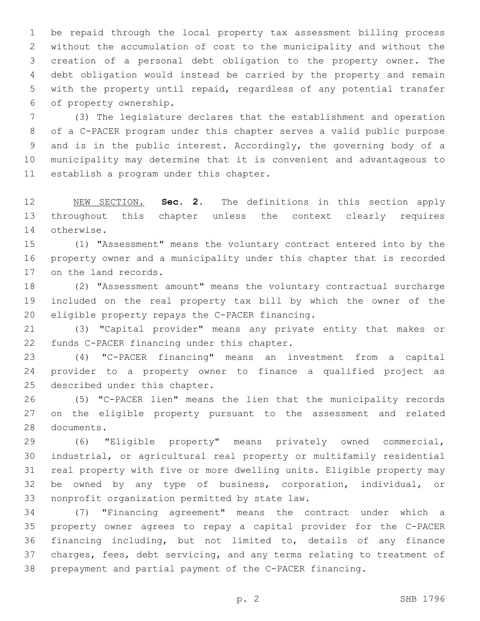be repaid through the local property tax assessment billing process without the accumulation of cost to the municipality and without the creation of a personal debt obligation to the property owner. The debt obligation would instead be carried by the property and remain with the property until repaid, regardless of any potential transfer 6 of property ownership.

 (3) The legislature declares that the establishment and operation of a C-PACER program under this chapter serves a valid public purpose and is in the public interest. Accordingly, the governing body of a municipality may determine that it is convenient and advantageous to 11 establish a program under this chapter.

 NEW SECTION. **Sec. 2.** The definitions in this section apply throughout this chapter unless the context clearly requires otherwise.

 (1) "Assessment" means the voluntary contract entered into by the property owner and a municipality under this chapter that is recorded 17 on the land records.

 (2) "Assessment amount" means the voluntary contractual surcharge included on the real property tax bill by which the owner of the 20 eligible property repays the C-PACER financing.

 (3) "Capital provider" means any private entity that makes or 22 funds C-PACER financing under this chapter.

 (4) "C-PACER financing" means an investment from a capital provider to a property owner to finance a qualified project as 25 described under this chapter.

 (5) "C-PACER lien" means the lien that the municipality records on the eligible property pursuant to the assessment and related 28 documents.

 (6) "Eligible property" means privately owned commercial, industrial, or agricultural real property or multifamily residential real property with five or more dwelling units. Eligible property may be owned by any type of business, corporation, individual, or 33 nonprofit organization permitted by state law.

 (7) "Financing agreement" means the contract under which a property owner agrees to repay a capital provider for the C-PACER financing including, but not limited to, details of any finance charges, fees, debt servicing, and any terms relating to treatment of prepayment and partial payment of the C-PACER financing.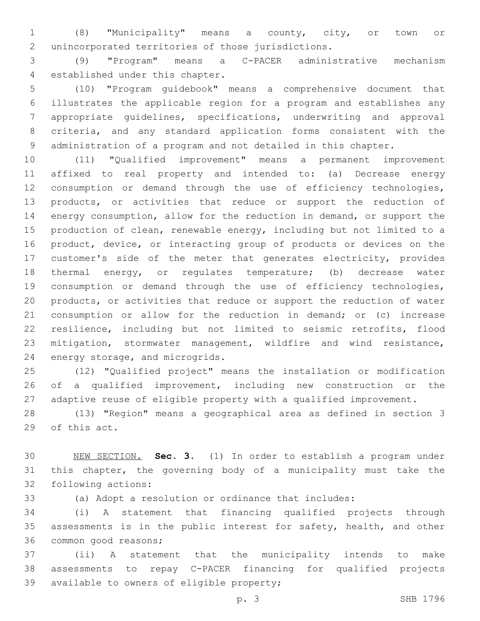(8) "Municipality" means a county, city, or town or 2 unincorporated territories of those jurisdictions.

 (9) "Program" means a C-PACER administrative mechanism 4 established under this chapter.

 (10) "Program guidebook" means a comprehensive document that illustrates the applicable region for a program and establishes any appropriate guidelines, specifications, underwriting and approval criteria, and any standard application forms consistent with the administration of a program and not detailed in this chapter.

 (11) "Qualified improvement" means a permanent improvement affixed to real property and intended to: (a) Decrease energy consumption or demand through the use of efficiency technologies, products, or activities that reduce or support the reduction of energy consumption, allow for the reduction in demand, or support the production of clean, renewable energy, including but not limited to a product, device, or interacting group of products or devices on the customer's side of the meter that generates electricity, provides thermal energy, or regulates temperature; (b) decrease water consumption or demand through the use of efficiency technologies, products, or activities that reduce or support the reduction of water consumption or allow for the reduction in demand; or (c) increase resilience, including but not limited to seismic retrofits, flood mitigation, stormwater management, wildfire and wind resistance, 24 energy storage, and microgrids.

 (12) "Qualified project" means the installation or modification of a qualified improvement, including new construction or the adaptive reuse of eligible property with a qualified improvement.

 (13) "Region" means a geographical area as defined in section 3 29 of this act.

 NEW SECTION. **Sec. 3.** (1) In order to establish a program under this chapter, the governing body of a municipality must take the following actions:

(a) Adopt a resolution or ordinance that includes:

 (i) A statement that financing qualified projects through assessments is in the public interest for safety, health, and other 36 common good reasons;

 (ii) A statement that the municipality intends to make assessments to repay C-PACER financing for qualified projects 39 available to owners of eligible property;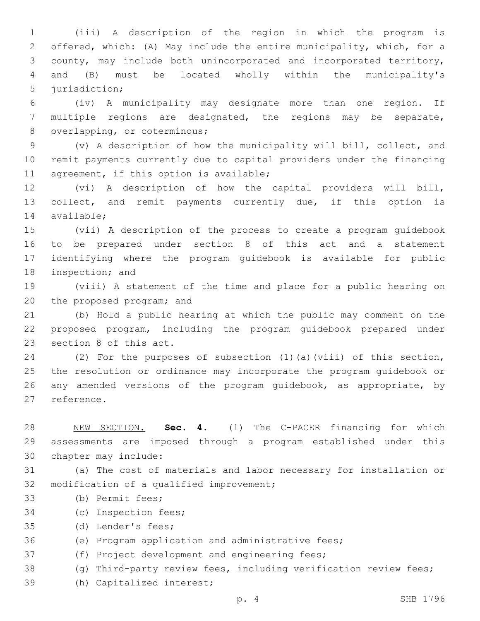(iii) A description of the region in which the program is offered, which: (A) May include the entire municipality, which, for a county, may include both unincorporated and incorporated territory, and (B) must be located wholly within the municipality's 5 jurisdiction;

6 (iv) A municipality may designate more than one region. If 7 multiple regions are designated, the regions may be separate, 8 overlapping, or coterminous;

9 (v) A description of how the municipality will bill, collect, and 10 remit payments currently due to capital providers under the financing 11 agreement, if this option is available;

12 (vi) A description of how the capital providers will bill, 13 collect, and remit payments currently due, if this option is 14 available;

 (vii) A description of the process to create a program guidebook to be prepared under section 8 of this act and a statement identifying where the program guidebook is available for public 18 inspection; and

19 (viii) A statement of the time and place for a public hearing on 20 the proposed program; and

21 (b) Hold a public hearing at which the public may comment on the 22 proposed program, including the program guidebook prepared under 23 section 8 of this act.

24 (2) For the purposes of subsection (1)(a)(viii) of this section, 25 the resolution or ordinance may incorporate the program guidebook or 26 any amended versions of the program guidebook, as appropriate, by 27 reference.

28 NEW SECTION. **Sec. 4.** (1) The C-PACER financing for which 29 assessments are imposed through a program established under this 30 chapter may include:

31 (a) The cost of materials and labor necessary for installation or 32 modification of a qualified improvement;

- 33 (b) Permit fees;
- 34 (c) Inspection fees;
- 35 (d) Lender's fees;
- 36 (e) Program application and administrative fees;
- 37 (f) Project development and engineering fees;
- 38 (g) Third-party review fees, including verification review fees;
- 39 (h) Capitalized interest;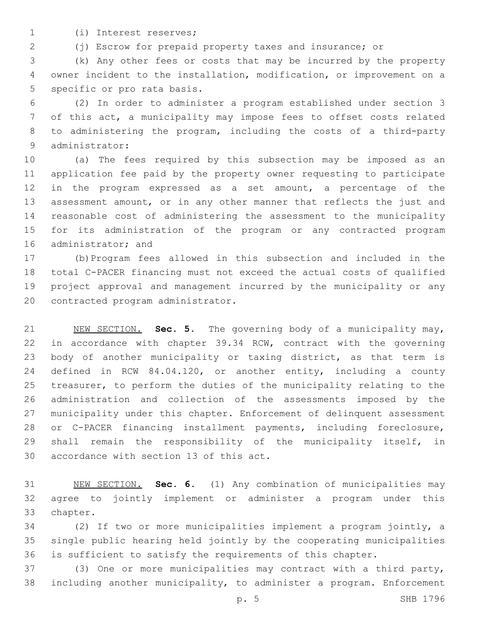(i) Interest reserves;1

(j) Escrow for prepaid property taxes and insurance; or

 (k) Any other fees or costs that may be incurred by the property owner incident to the installation, modification, or improvement on a 5 specific or pro rata basis.

 (2) In order to administer a program established under section 3 of this act, a municipality may impose fees to offset costs related to administering the program, including the costs of a third-party 9 administrator:

 (a) The fees required by this subsection may be imposed as an application fee paid by the property owner requesting to participate in the program expressed as a set amount, a percentage of the assessment amount, or in any other manner that reflects the just and reasonable cost of administering the assessment to the municipality for its administration of the program or any contracted program 16 administrator; and

 (b)Program fees allowed in this subsection and included in the total C-PACER financing must not exceed the actual costs of qualified project approval and management incurred by the municipality or any 20 contracted program administrator.

 NEW SECTION. **Sec. 5.** The governing body of a municipality may, in accordance with chapter 39.34 RCW, contract with the governing 23 body of another municipality or taxing district, as that term is defined in RCW 84.04.120, or another entity, including a county treasurer, to perform the duties of the municipality relating to the administration and collection of the assessments imposed by the municipality under this chapter. Enforcement of delinquent assessment or C-PACER financing installment payments, including foreclosure, shall remain the responsibility of the municipality itself, in accordance with section 13 of this act.

 NEW SECTION. **Sec. 6.** (1) Any combination of municipalities may agree to jointly implement or administer a program under this chapter.

 (2) If two or more municipalities implement a program jointly, a single public hearing held jointly by the cooperating municipalities is sufficient to satisfy the requirements of this chapter.

 (3) One or more municipalities may contract with a third party, including another municipality, to administer a program. Enforcement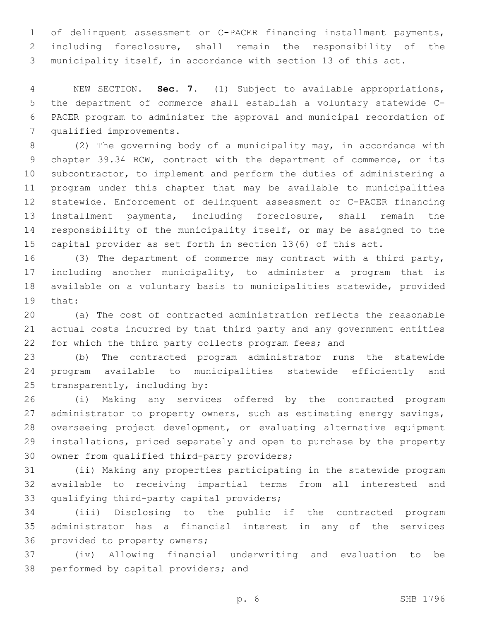of delinquent assessment or C-PACER financing installment payments, including foreclosure, shall remain the responsibility of the municipality itself, in accordance with section 13 of this act.

 NEW SECTION. **Sec. 7.** (1) Subject to available appropriations, the department of commerce shall establish a voluntary statewide C- PACER program to administer the approval and municipal recordation of qualified improvements.

 (2) The governing body of a municipality may, in accordance with chapter 39.34 RCW, contract with the department of commerce, or its subcontractor, to implement and perform the duties of administering a program under this chapter that may be available to municipalities statewide. Enforcement of delinquent assessment or C-PACER financing installment payments, including foreclosure, shall remain the responsibility of the municipality itself, or may be assigned to the capital provider as set forth in section 13(6) of this act.

 (3) The department of commerce may contract with a third party, including another municipality, to administer a program that is available on a voluntary basis to municipalities statewide, provided 19 that:

 (a) The cost of contracted administration reflects the reasonable actual costs incurred by that third party and any government entities for which the third party collects program fees; and

 (b) The contracted program administrator runs the statewide program available to municipalities statewide efficiently and 25 transparently, including by:

 (i) Making any services offered by the contracted program 27 administrator to property owners, such as estimating energy savings, overseeing project development, or evaluating alternative equipment installations, priced separately and open to purchase by the property 30 owner from qualified third-party providers;

 (ii) Making any properties participating in the statewide program available to receiving impartial terms from all interested and 33 qualifying third-party capital providers;

 (iii) Disclosing to the public if the contracted program administrator has a financial interest in any of the services 36 provided to property owners;

 (iv) Allowing financial underwriting and evaluation to be 38 performed by capital providers; and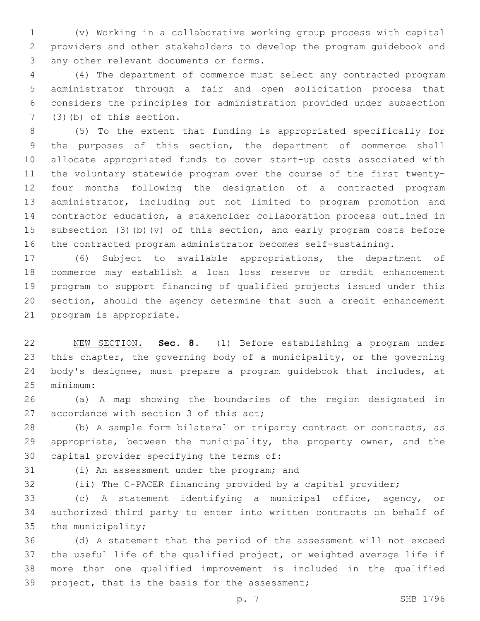(v) Working in a collaborative working group process with capital providers and other stakeholders to develop the program guidebook and 3 any other relevant documents or forms.

 (4) The department of commerce must select any contracted program administrator through a fair and open solicitation process that considers the principles for administration provided under subsection  $(3)(b)$  of this section.

 (5) To the extent that funding is appropriated specifically for the purposes of this section, the department of commerce shall allocate appropriated funds to cover start-up costs associated with the voluntary statewide program over the course of the first twenty- four months following the designation of a contracted program administrator, including but not limited to program promotion and contractor education, a stakeholder collaboration process outlined in subsection (3)(b)(v) of this section, and early program costs before the contracted program administrator becomes self-sustaining.

 (6) Subject to available appropriations, the department of commerce may establish a loan loss reserve or credit enhancement program to support financing of qualified projects issued under this section, should the agency determine that such a credit enhancement 21 program is appropriate.

 NEW SECTION. **Sec. 8.** (1) Before establishing a program under this chapter, the governing body of a municipality, or the governing body's designee, must prepare a program guidebook that includes, at minimum:

 (a) A map showing the boundaries of the region designated in 27 accordance with section 3 of this act;

 (b) A sample form bilateral or triparty contract or contracts, as 29 appropriate, between the municipality, the property owner, and the 30 capital provider specifying the terms of:

(i) An assessment under the program; and

(ii) The C-PACER financing provided by a capital provider;

 (c) A statement identifying a municipal office, agency, or authorized third party to enter into written contracts on behalf of the municipality;

 (d) A statement that the period of the assessment will not exceed the useful life of the qualified project, or weighted average life if more than one qualified improvement is included in the qualified 39 project, that is the basis for the assessment;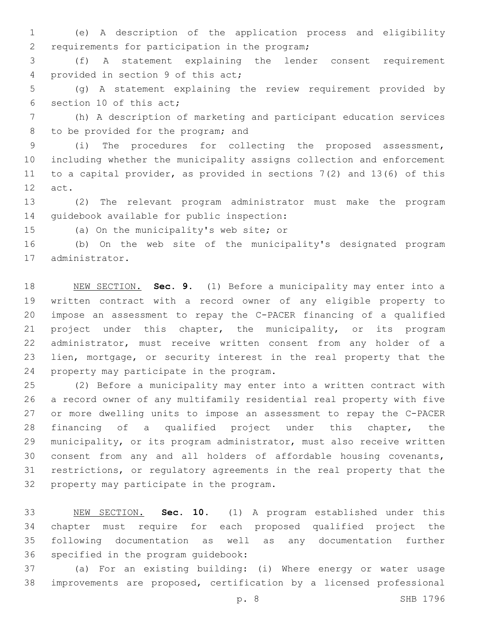(e) A description of the application process and eligibility 2 requirements for participation in the program;

 (f) A statement explaining the lender consent requirement 4 provided in section 9 of this act;

 (g) A statement explaining the review requirement provided by 6 section 10 of this act;

 (h) A description of marketing and participant education services 8 to be provided for the program; and

 (i) The procedures for collecting the proposed assessment, including whether the municipality assigns collection and enforcement to a capital provider, as provided in sections 7(2) and 13(6) of this 12 act.

 (2) The relevant program administrator must make the program 14 quidebook available for public inspection:

15 (a) On the municipality's web site; or

 (b) On the web site of the municipality's designated program 17 administrator.

 NEW SECTION. **Sec. 9.** (1) Before a municipality may enter into a written contract with a record owner of any eligible property to impose an assessment to repay the C-PACER financing of a qualified project under this chapter, the municipality, or its program administrator, must receive written consent from any holder of a lien, mortgage, or security interest in the real property that the property may participate in the program.

 (2) Before a municipality may enter into a written contract with a record owner of any multifamily residential real property with five or more dwelling units to impose an assessment to repay the C-PACER financing of a qualified project under this chapter, the municipality, or its program administrator, must also receive written consent from any and all holders of affordable housing covenants, restrictions, or regulatory agreements in the real property that the 32 property may participate in the program.

 NEW SECTION. **Sec. 10.** (1) A program established under this chapter must require for each proposed qualified project the following documentation as well as any documentation further specified in the program guidebook:

 (a) For an existing building: (i) Where energy or water usage improvements are proposed, certification by a licensed professional

p. 8 SHB 1796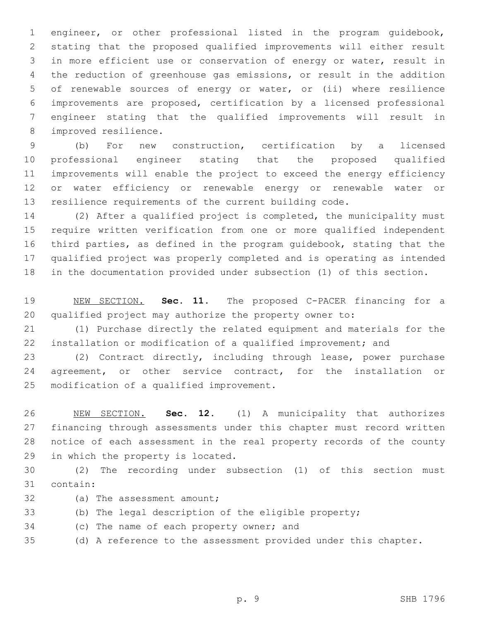engineer, or other professional listed in the program guidebook, stating that the proposed qualified improvements will either result in more efficient use or conservation of energy or water, result in the reduction of greenhouse gas emissions, or result in the addition of renewable sources of energy or water, or (ii) where resilience improvements are proposed, certification by a licensed professional engineer stating that the qualified improvements will result in 8 improved resilience.

 (b) For new construction, certification by a licensed professional engineer stating that the proposed qualified improvements will enable the project to exceed the energy efficiency or water efficiency or renewable energy or renewable water or resilience requirements of the current building code.

 (2) After a qualified project is completed, the municipality must require written verification from one or more qualified independent third parties, as defined in the program guidebook, stating that the qualified project was properly completed and is operating as intended in the documentation provided under subsection (1) of this section.

 NEW SECTION. **Sec. 11.** The proposed C-PACER financing for a qualified project may authorize the property owner to:

 (1) Purchase directly the related equipment and materials for the installation or modification of a qualified improvement; and

 (2) Contract directly, including through lease, power purchase 24 agreement, or other service contract, for the installation or 25 modification of a qualified improvement.

 NEW SECTION. **Sec. 12.** (1) A municipality that authorizes financing through assessments under this chapter must record written notice of each assessment in the real property records of the county in which the property is located.

 (2) The recording under subsection (1) of this section must 31 contain:

- 32 (a) The assessment amount;
- (b) The legal description of the eligible property;
- 34 (c) The name of each property owner; and
- (d) A reference to the assessment provided under this chapter.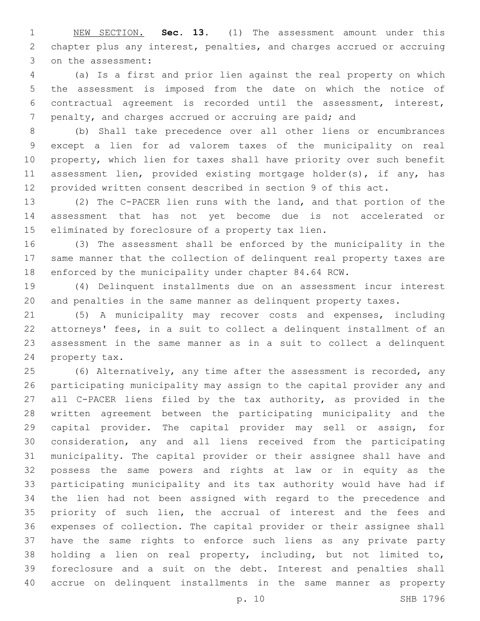NEW SECTION. **Sec. 13.** (1) The assessment amount under this chapter plus any interest, penalties, and charges accrued or accruing on the assessment:

 (a) Is a first and prior lien against the real property on which the assessment is imposed from the date on which the notice of contractual agreement is recorded until the assessment, interest, 7 penalty, and charges accrued or accruing are paid; and

 (b) Shall take precedence over all other liens or encumbrances except a lien for ad valorem taxes of the municipality on real property, which lien for taxes shall have priority over such benefit assessment lien, provided existing mortgage holder(s), if any, has provided written consent described in section 9 of this act.

 (2) The C-PACER lien runs with the land, and that portion of the assessment that has not yet become due is not accelerated or 15 eliminated by foreclosure of a property tax lien.

 (3) The assessment shall be enforced by the municipality in the same manner that the collection of delinquent real property taxes are enforced by the municipality under chapter 84.64 RCW.

 (4) Delinquent installments due on an assessment incur interest and penalties in the same manner as delinquent property taxes.

 (5) A municipality may recover costs and expenses, including attorneys' fees, in a suit to collect a delinquent installment of an assessment in the same manner as in a suit to collect a delinquent 24 property tax.

 (6) Alternatively, any time after the assessment is recorded, any participating municipality may assign to the capital provider any and all C-PACER liens filed by the tax authority, as provided in the written agreement between the participating municipality and the capital provider. The capital provider may sell or assign, for consideration, any and all liens received from the participating municipality. The capital provider or their assignee shall have and possess the same powers and rights at law or in equity as the participating municipality and its tax authority would have had if the lien had not been assigned with regard to the precedence and priority of such lien, the accrual of interest and the fees and expenses of collection. The capital provider or their assignee shall have the same rights to enforce such liens as any private party holding a lien on real property, including, but not limited to, foreclosure and a suit on the debt. Interest and penalties shall accrue on delinquent installments in the same manner as property